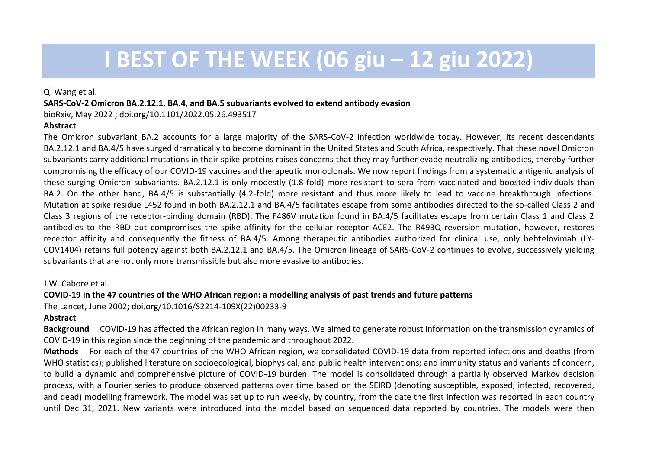# **I BEST OF THE WEEK (06 giu – 12 giu 2022)**

#### Q. Wang et al.

#### **SARS-CoV-2 Omicron BA.2.12.1, BA.4, and BA.5 subvariants evolved to extend antibody evasion**

bioRxiv, May 2022 ; [doi.org/10.1101/2022.05.26.493517](https://doi.org/10.1101/2022.05.26.493517)

### **Abstract**

The Omicron subvariant BA.2 accounts for a large majority of the SARS-CoV-2 infection worldwide today. However, its recent descendants BA.2.12.1 and BA.4/5 have surged dramatically to become dominant in the United States and South Africa, respectively. That these novel Omicron subvariants carry additional mutations in their spike proteins raises concerns that they may further evade neutralizing antibodies, thereby further compromising the efficacy of our COVID-19 vaccines and therapeutic monoclonals. We now report findings from a systematic antigenic analysis of these surging Omicron subvariants. BA.2.12.1 is only modestly (1.8-fold) more resistant to sera from vaccinated and boosted individuals than BA.2. On the other hand, BA.4/5 is substantially (4.2-fold) more resistant and thus more likely to lead to vaccine breakthrough infections. Mutation at spike residue L452 found in both BA.2.12.1 and BA.4/5 facilitates escape from some antibodies directed to the so-called Class 2 and Class 3 regions of the receptor-binding domain (RBD). The F486V mutation found in BA.4/5 facilitates escape from certain Class 1 and Class 2 antibodies to the RBD but compromises the spike affinity for the cellular receptor ACE2. The R493Q reversion mutation, however, restores receptor affinity and consequently the fitness of BA.4/5. Among therapeutic antibodies authorized for clinical use, only bebtelovimab (LY-COV1404) retains full potency against both BA.2.12.1 and BA.4/5. The Omicron lineage of SARS-CoV-2 continues to evolve, successively yielding subvariants that are not only more transmissible but also more evasive to antibodies.

### J.W. Cabore et al.

# **COVID-19 in the 47 countries of the WHO African region: a modelling analysis of past trends and future patterns**

The Lancet, June 2002; doi.org/10.1016/S2214-109X(22)00233-9

## **Abstract**

**Background** COVID-19 has affected the African region in many ways. We aimed to generate robust information on the transmission dynamics of COVID-19 in this region since the beginning of the pandemic and throughout 2022.

**Methods** For each of the 47 countries of the WHO African region, we consolidated COVID-19 data from reported infections and deaths (from WHO statistics); published literature on socioecological, biophysical, and public health interventions; and immunity status and variants of concern, to build a dynamic and comprehensive picture of COVID-19 burden. The model is consolidated through a partially observed Markov decision process, with a Fourier series to produce observed patterns over time based on the SEIRD (denoting susceptible, exposed, infected, recovered, and dead) modelling framework. The model was set up to run weekly, by country, from the date the first infection was reported in each country until Dec 31, 2021. New variants were introduced into the model based on sequenced data reported by countries. The models were then